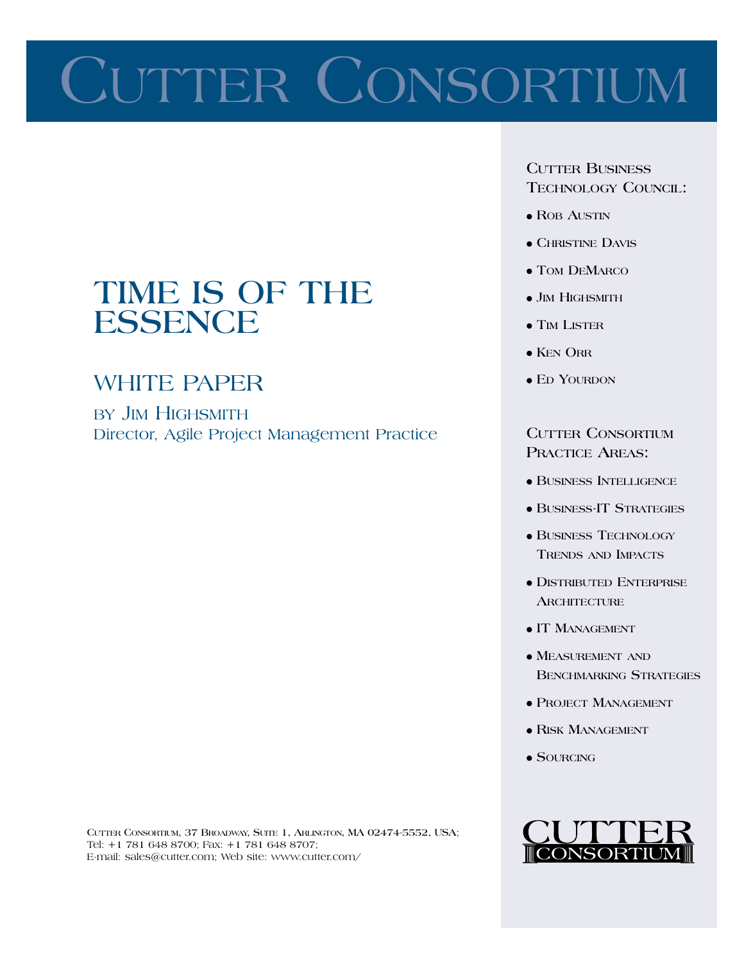# CUTTER CONSORTIUM

### TIME IS OF THE **ESSENCE**

### **WHITE PAPER**

BY JIM HIGHSMITH Director, Agile Project Management Practice **CUTTER BUSINESS TECHNOLOGY COUNCIL:** 

- $\bullet$  ROB AUSTIN
- $\bullet$  CHRISTINE DAVIS
- $\bullet$  TOM DEMARCO
- $\bullet$  JIM HIGHSMITH
- $\bullet$  TIM LISTER
- $\bullet$  KEN ORR
- $\bullet$  ED YOURDON

**CUTTER CONSORTIUM PRACTICE AREAS:** 

- **BUSINESS INTELLIGENCE**
- **BUSINESS-IT STRATEGIES**
- **BUSINESS TECHNOLOGY TRENDS AND IMPACTS**
- · DISTRIBUTED ENTERPRISE **ARCHITECTURE**
- IT MANAGEMENT
- $\bullet$  MEASUREMENT AND **BENCHMARKING STRATEGIES**
- PROJECT MANAGEMENT
- RISK MANAGEMENT
- $\bullet$  SOURCING



CUTTER CONSORTIUM, 37 BROADWAY, SUITE 1, ARLINGTON, MA 02474-5552, USA; Tel: +1 781 648 8700; Fax: +1 781 648 8707; E-mail: sales@cutter.com; Web site: www.cutter.com/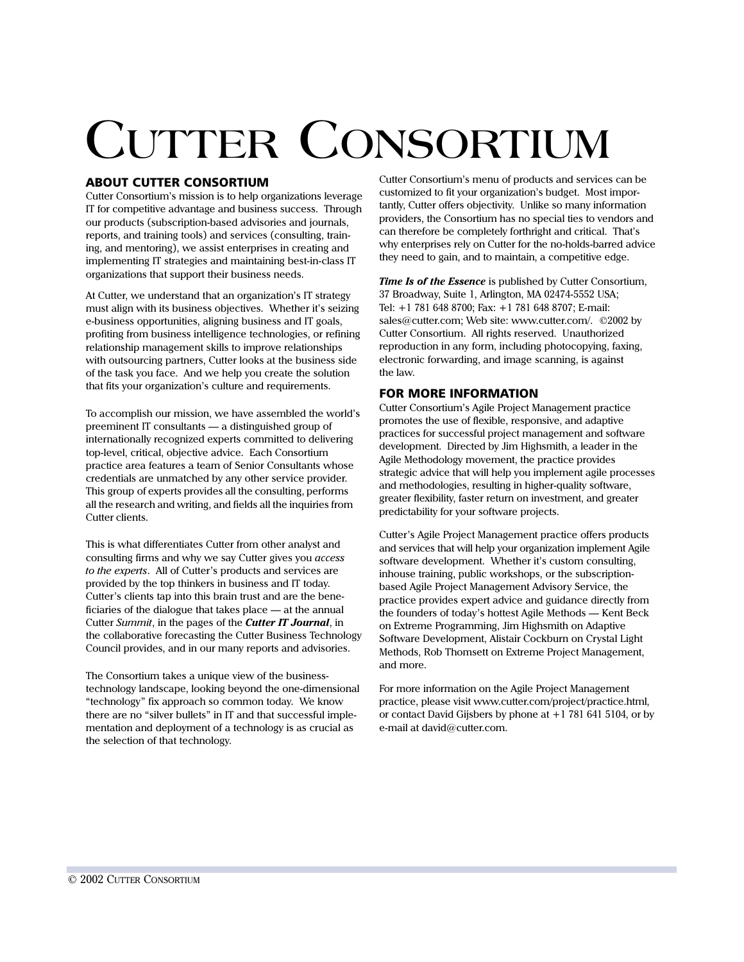## **CUTTER CONSORTIUM**

#### **ABOUT CUTTER CONSORTIUM**

Cutter Consortium's mission is to help organizations leverage IT for competitive advantage and business success. Through our products (subscription-based advisories and journals, reports, and training tools) and services (consulting, training, and mentoring), we assist enterprises in creating and implementing IT strategies and maintaining best-in-class IT organizations that support their business needs.

At Cutter, we understand that an organization's IT strategy must align with its business objectives. Whether it's seizing e-business opportunities, aligning business and IT goals, profiting from business intelligence technologies, or refining relationship management skills to improve relationships with outsourcing partners, Cutter looks at the business side of the task you face. And we help you create the solution that fits your organization's culture and requirements.

To accomplish our mission, we have assembled the world's preeminent IT consultants — a distinguished group of internationally recognized experts committed to delivering top-level, critical, objective advice. Each Consortium practice area features a team of Senior Consultants whose credentials are unmatched by any other service provider. This group of experts provides all the consulting, performs all the research and writing, and fields all the inquiries from Cutter clients.

This is what differentiates Cutter from other analyst and consulting firms and why we say Cutter gives you *access* to the experts. All of Cutter's products and services are provided by the top thinkers in business and IT today. Cutter's clients tap into this brain trust and are the beneficiaries of the dialogue that takes place — at the annual Cutter Summit, in the pages of the Cutter IT Journal, in the collaborative forecasting the Cutter Business Technology Council provides, and in our many reports and advisories.

The Consortium takes a unique view of the businesstechnology landscape, looking beyond the one-dimensional "technology" fix approach so common today. We know there are no "silver bullets" in IT and that successful implementation and deployment of a technology is as crucial as the selection of that technology.

Cutter Consortium's menu of products and services can be customized to fit your organization's budget. Most importantly, Cutter offers objectivity. Unlike so many information providers, the Consortium has no special ties to vendors and can therefore be completely forthright and critical. That's why enterprises rely on Cutter for the no-holds-barred advice they need to gain, and to maintain, a competitive edge.

Time Is of the Essence is published by Cutter Consortium, 37 Broadway, Suite 1, Arlington, MA 02474-5552 USA; Tel: +1 781 648 8700; Fax: +1 781 648 8707; E-mail: sales@cutter.com; Web site: www.cutter.com/. ©2002 by Cutter Consortium. All rights reserved. Unauthorized reproduction in any form, including photocopying, faxing, electronic forwarding, and image scanning, is against the law.

#### **FOR MORE INFORMATION**

Cutter Consortium's Agile Project Management practice promotes the use of flexible, responsive, and adaptive practices for successful project management and software development. Directed by Jim Highsmith, a leader in the Agile Methodology movement, the practice provides strategic advice that will help you implement agile processes and methodologies, resulting in higher-quality software, greater flexibility, faster return on investment, and greater predictability for your software projects.

Cutter's Agile Project Management practice offers products and services that will help your organization implement Agile software development. Whether it's custom consulting, inhouse training, public workshops, or the subscriptionbased Agile Project Management Advisory Service, the practice provides expert advice and guidance directly from the founders of today's hottest Agile Methods - Kent Beck on Extreme Programming, Jim Highsmith on Adaptive Software Development, Alistair Cockburn on Crystal Light Methods, Rob Thomsett on Extreme Project Management, and more.

For more information on the Agile Project Management practice, please visit www.cutter.com/project/practice.html, or contact David Gijsbers by phone at  $+1$  781 641 5104, or by e-mail at david@cutter.com.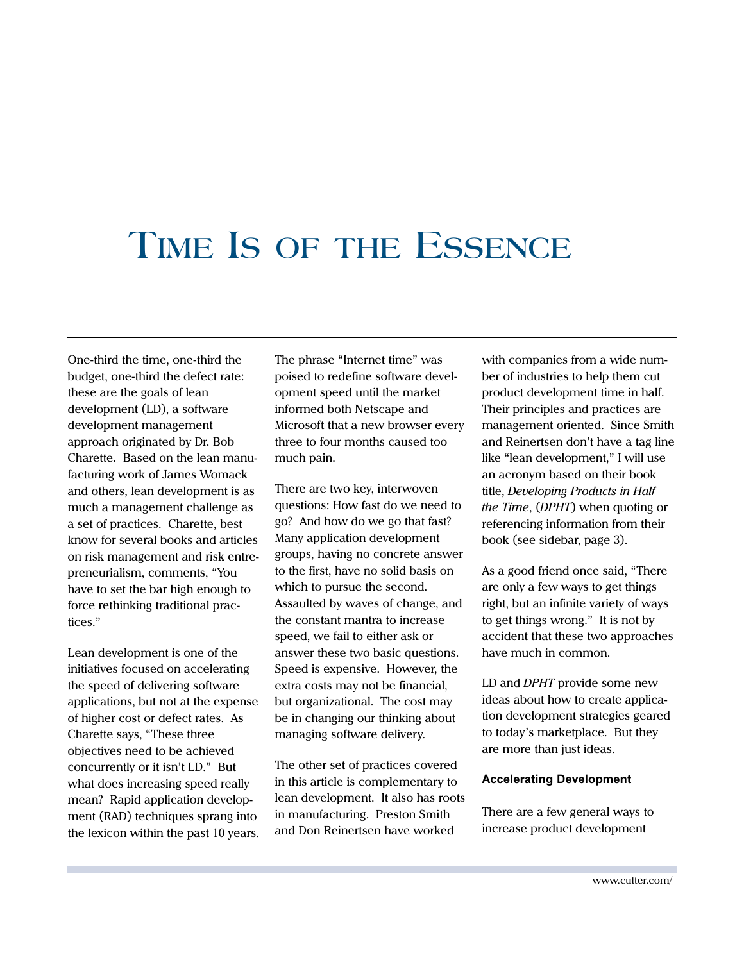## TIME IS OF THE ESSENCE

One-third the time, one-third the budget, one-third the defect rate: these are the goals of lean development (LD), a software development management approach originated by Dr. Bob Charette. Based on the lean manufacturing work of James Womack and others, lean development is as much a management challenge as a set of practices. Charette, best know for several books and articles on risk management and risk entrepreneurialism, comments, "You have to set the bar high enough to force rethinking traditional practices."

Lean development is one of the initiatives focused on accelerating the speed of delivering software applications, but not at the expense of higher cost or defect rates. As Charette says, "These three objectives need to be achieved concurrently or it isn't LD." But what does increasing speed really mean? Rapid application development (RAD) techniques sprang into the lexicon within the past 10 years. The phrase "Internet time" was poised to redefine software development speed until the market informed both Netscape and Microsoft that a new browser every three to four months caused too much pain.

There are two key, interwoven questions: How fast do we need to go? And how do we go that fast? Many application development groups, having no concrete answer to the first, have no solid basis on which to pursue the second. Assaulted by waves of change, and the constant mantra to increase speed, we fail to either ask or answer these two basic questions. Speed is expensive. However, the extra costs may not be financial, but organizational. The cost may be in changing our thinking about managing software delivery.

The other set of practices covered in this article is complementary to lean development. It also has roots in manufacturing. Preston Smith and Don Reinertsen have worked

with companies from a wide number of industries to help them cut product development time in half. Their principles and practices are management oriented. Since Smith and Reinertsen don't have a tag line like "lean development," I will use an acronym based on their book title, Developing Products in Half the Time, (DPHT) when quoting or referencing information from their book (see sidebar, page 3).

As a good friend once said, "There are only a few ways to get things right, but an infinite variety of ways to get things wrong." It is not by accident that these two approaches have much in common.

LD and *DPHT* provide some new ideas about how to create application development strategies geared to today's marketplace. But they are more than just ideas.

#### **Accelerating Development**

There are a few general ways to increase product development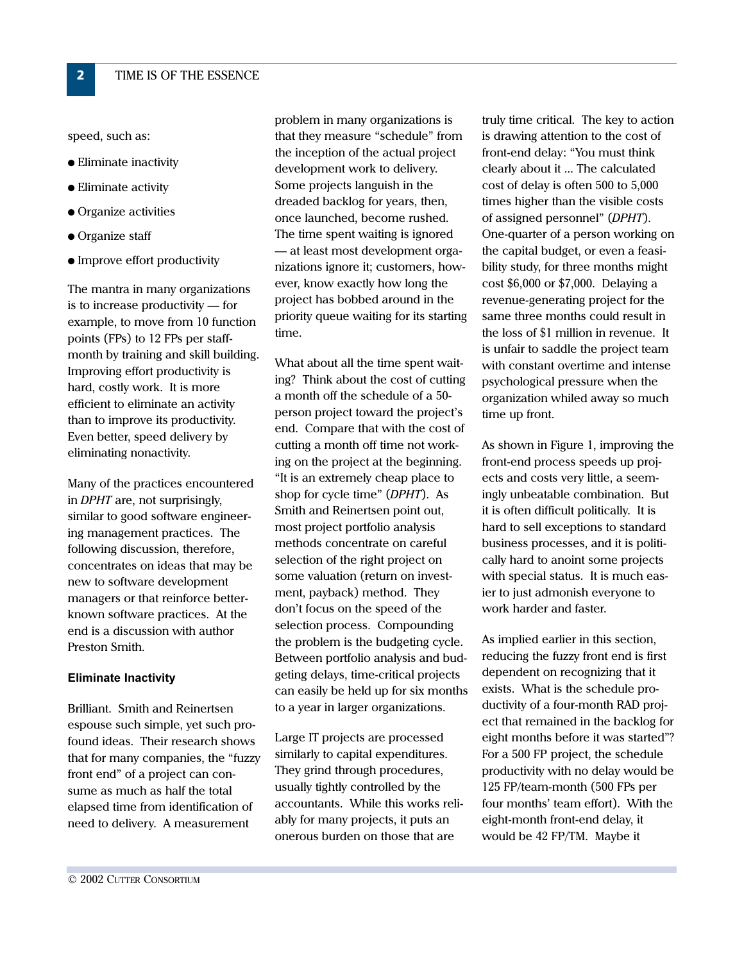speed, such as:

 $2<sup>1</sup>$ 

- $\bullet$  Eliminate inactivity
- $\bullet$  Eliminate activity
- $\bullet$  Organize activities
- $\bullet$  Organize staff
- Improve effort productivity

The mantra in many organizations is to increase productivity  $-$  for example, to move from 10 function points (FPs) to 12 FPs per staffmonth by training and skill building. Improving effort productivity is hard, costly work. It is more efficient to eliminate an activity than to improve its productivity. Even better, speed delivery by eliminating nonactivity.

Many of the practices encountered in DPHT are, not surprisingly, similar to good software engineering management practices. The following discussion, therefore, concentrates on ideas that may be new to software development managers or that reinforce betterknown software practices. At the end is a discussion with author Preston Smith.

#### **Eliminate Inactivity**

Brilliant. Smith and Reinertsen espouse such simple, yet such profound ideas. Their research shows that for many companies, the "fuzzy front end" of a project can consume as much as half the total elapsed time from identification of need to delivery. A measurement

problem in many organizations is that they measure "schedule" from the inception of the actual project development work to delivery. Some projects languish in the dreaded backlog for years, then, once launched, become rushed. The time spent waiting is ignored - at least most development organizations ignore it; customers, however, know exactly how long the project has bobbed around in the priority queue waiting for its starting time.

What about all the time spent waiting? Think about the cost of cutting a month off the schedule of a 50person project toward the project's end. Compare that with the cost of cutting a month off time not working on the project at the beginning. "It is an extremely cheap place to shop for cycle time" (DPHT). As Smith and Reinertsen point out, most project portfolio analysis methods concentrate on careful selection of the right project on some valuation (return on investment, payback) method. They don't focus on the speed of the selection process. Compounding the problem is the budgeting cycle. Between portfolio analysis and budgeting delays, time-critical projects can easily be held up for six months to a year in larger organizations.

Large IT projects are processed similarly to capital expenditures. They grind through procedures, usually tightly controlled by the accountants. While this works reliably for many projects, it puts an onerous burden on those that are

truly time critical. The key to action is drawing attention to the cost of front-end delay: "You must think clearly about it ... The calculated cost of delay is often 500 to 5,000 times higher than the visible costs of assigned personnel" (DPHT). One-quarter of a person working on the capital budget, or even a feasibility study, for three months might cost \$6,000 or \$7,000. Delaying a revenue-generating project for the same three months could result in the loss of \$1 million in revenue. It is unfair to saddle the project team with constant overtime and intense psychological pressure when the organization whiled away so much time up front.

As shown in Figure 1, improving the front-end process speeds up projects and costs very little, a seemingly unbeatable combination. But it is often difficult politically. It is hard to sell exceptions to standard business processes, and it is politically hard to anoint some projects with special status. It is much easier to just admonish everyone to work harder and faster.

As implied earlier in this section, reducing the fuzzy front end is first dependent on recognizing that it exists. What is the schedule productivity of a four-month RAD project that remained in the backlog for eight months before it was started"? For a 500 FP project, the schedule productivity with no delay would be 125 FP/team-month (500 FPs per four months' team effort). With the eight-month front-end delay, it would be 42 FP/TM. Maybe it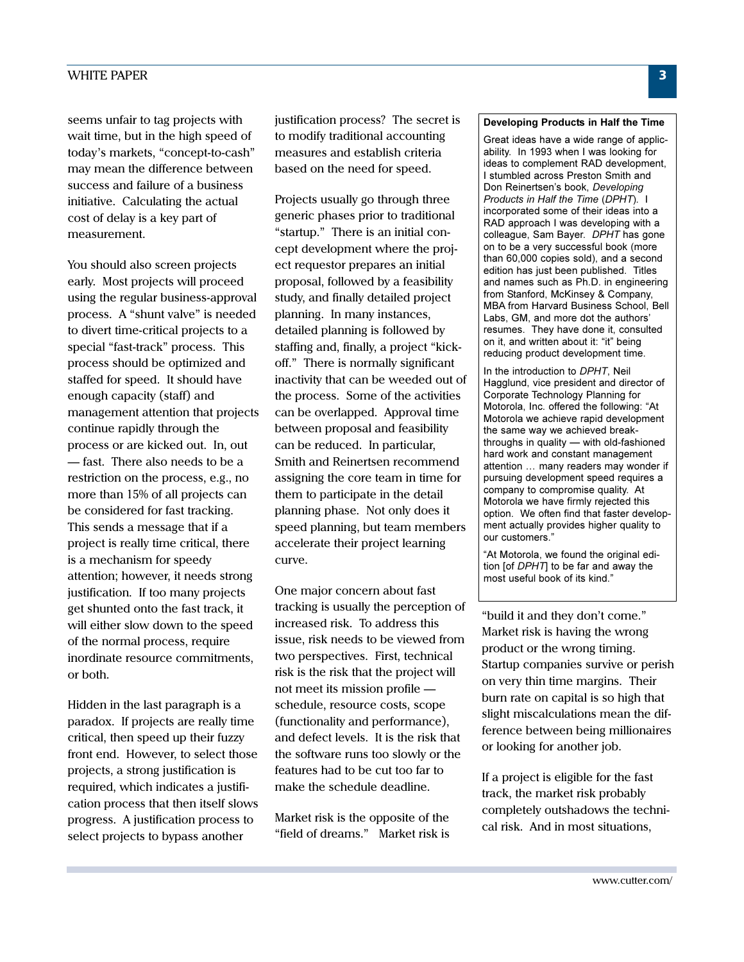seems unfair to tag projects with wait time, but in the high speed of today's markets, "concept-to-cash" may mean the difference between success and failure of a business initiative. Calculating the actual cost of delay is a key part of measurement.

You should also screen projects early. Most projects will proceed using the regular business-approval process. A "shunt valve" is needed to divert time-critical projects to a special "fast-track" process. This process should be optimized and staffed for speed. It should have enough capacity (staff) and management attention that projects continue rapidly through the process or are kicked out. In, out - fast. There also needs to be a restriction on the process, e.g., no more than 15% of all projects can be considered for fast tracking. This sends a message that if a project is really time critical, there is a mechanism for speedy attention; however, it needs strong justification. If too many projects get shunted onto the fast track, it will either slow down to the speed of the normal process, require inordinate resource commitments, or both.

Hidden in the last paragraph is a paradox. If projects are really time critical, then speed up their fuzzy front end. However, to select those projects, a strong justification is required, which indicates a justification process that then itself slows progress. A justification process to select projects to bypass another

justification process? The secret is to modify traditional accounting measures and establish criteria based on the need for speed.

Projects usually go through three generic phases prior to traditional "startup." There is an initial concept development where the project requestor prepares an initial proposal, followed by a feasibility study, and finally detailed project planning. In many instances, detailed planning is followed by staffing and, finally, a project "kickoff." There is normally significant inactivity that can be weeded out of the process. Some of the activities can be overlapped. Approval time between proposal and feasibility can be reduced. In particular, Smith and Reinertsen recommend assigning the core team in time for them to participate in the detail planning phase. Not only does it speed planning, but team members accelerate their project learning curve.

One major concern about fast tracking is usually the perception of increased risk. To address this issue, risk needs to be viewed from two perspectives. First, technical risk is the risk that the project will not meet its mission profile schedule, resource costs, scope (functionality and performance), and defect levels. It is the risk that the software runs too slowly or the features had to be cut too far to make the schedule deadline.

Market risk is the opposite of the "field of dreams." Market risk is

#### Developing Products in Half the Time

Great ideas have a wide range of applicability. In 1993 when I was looking for ideas to complement RAD development, I stumbled across Preston Smith and Don Reinertsen's book, Developing Products in Half the Time (DPHT). I incorporated some of their ideas into a RAD approach I was developing with a colleague, Sam Bayer. DPHT has gone on to be a very successful book (more than 60,000 copies sold), and a second edition has just been published. Titles and names such as Ph.D. in engineering from Stanford, McKinsey & Company, MBA from Harvard Business School, Bell Labs. GM, and more dot the authors' resumes. They have done it, consulted on it, and written about it: "it" being reducing product development time.

In the introduction to DPHT, Neil Hagglund, vice president and director of Corporate Technology Planning for Motorola, Inc. offered the following: "At Motorola we achieve rapid development the same way we achieved breakthroughs in quality - with old-fashioned hard work and constant management attention ... many readers may wonder if pursuing development speed requires a company to compromise quality. At Motorola we have firmly rejected this option. We often find that faster development actually provides higher quality to our customers."

"At Motorola, we found the original edition [of DPHT] to be far and away the most useful book of its kind."

"build it and they don't come." Market risk is having the wrong product or the wrong timing. Startup companies survive or perish on very thin time margins. Their burn rate on capital is so high that slight miscalculations mean the difference between being millionaires or looking for another job.

If a project is eligible for the fast track, the market risk probably completely outshadows the technical risk. And in most situations,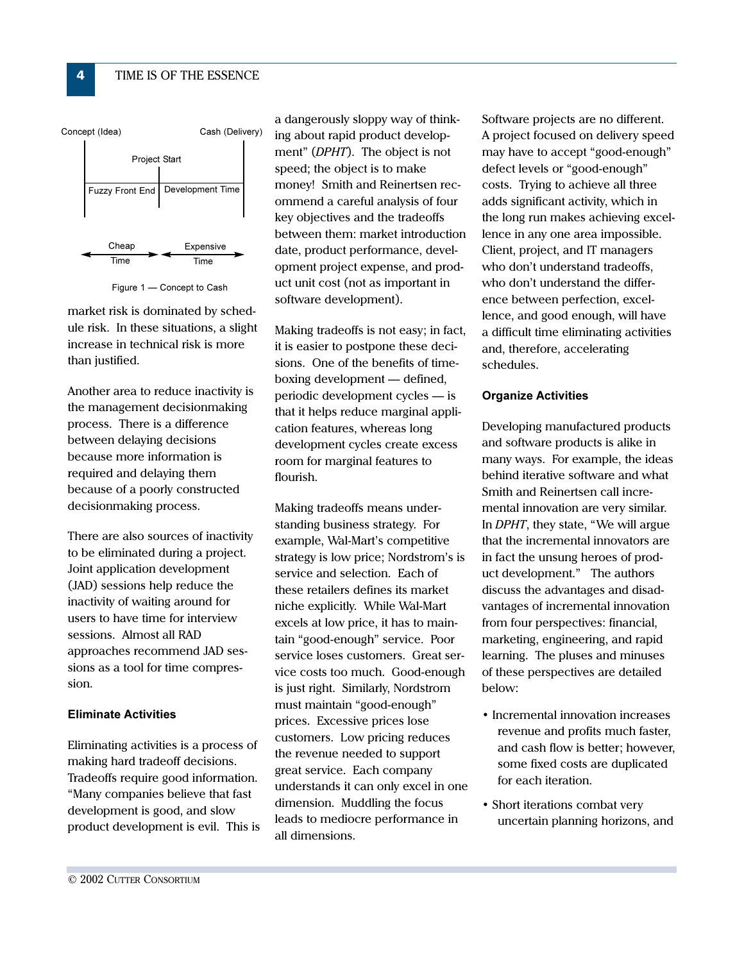

Figure 1 - Concept to Cash

market risk is dominated by schedule risk. In these situations, a slight increase in technical risk is more than justified.

Another area to reduce inactivity is the management decisionmaking process. There is a difference between delaying decisions because more information is required and delaying them because of a poorly constructed decisionmaking process.

There are also sources of inactivity to be eliminated during a project. Joint application development (JAD) sessions help reduce the inactivity of waiting around for users to have time for interview sessions. Almost all RAD approaches recommend JAD sessions as a tool for time compression.

#### **Eliminate Activities**

Eliminating activities is a process of making hard tradeoff decisions. Tradeoffs require good information. "Many companies believe that fast development is good, and slow product development is evil. This is

a dangerously sloppy way of thinking about rapid product development" (DPHT). The object is not speed; the object is to make money! Smith and Reinertsen recommend a careful analysis of four key objectives and the tradeoffs between them: market introduction date, product performance, development project expense, and product unit cost (not as important in software development).

Making tradeoffs is not easy; in fact, it is easier to postpone these decisions. One of the benefits of timeboxing development — defined, periodic development cycles — is that it helps reduce marginal application features, whereas long development cycles create excess room for marginal features to flourish.

Making tradeoffs means understanding business strategy. For example, Wal-Mart's competitive strategy is low price; Nordstrom's is service and selection. Each of these retailers defines its market niche explicitly. While Wal-Mart excels at low price, it has to maintain "good-enough" service. Poor service loses customers. Great service costs too much. Good-enough is just right. Similarly, Nordstrom must maintain "good-enough" prices. Excessive prices lose customers. Low pricing reduces the revenue needed to support great service. Each company understands it can only excel in one dimension. Muddling the focus leads to mediocre performance in all dimensions.

Software projects are no different. A project focused on delivery speed may have to accept "good-enough" defect levels or "good-enough" costs. Trying to achieve all three adds significant activity, which in the long run makes achieving excellence in any one area impossible. Client, project, and IT managers who don't understand tradeoffs, who don't understand the difference between perfection, excellence, and good enough, will have a difficult time eliminating activities and, therefore, accelerating schedules.

#### **Organize Activities**

Developing manufactured products and software products is alike in many ways. For example, the ideas behind iterative software and what Smith and Reinertsen call incremental innovation are very similar. In DPHT, they state, "We will argue that the incremental innovators are in fact the unsung heroes of product development." The authors discuss the advantages and disadvantages of incremental innovation from four perspectives: financial, marketing, engineering, and rapid learning. The pluses and minuses of these perspectives are detailed below:

- Incremental innovation increases revenue and profits much faster. and cash flow is better; however, some fixed costs are duplicated for each iteration.
- Short iterations combat very uncertain planning horizons, and

 $\overline{4}$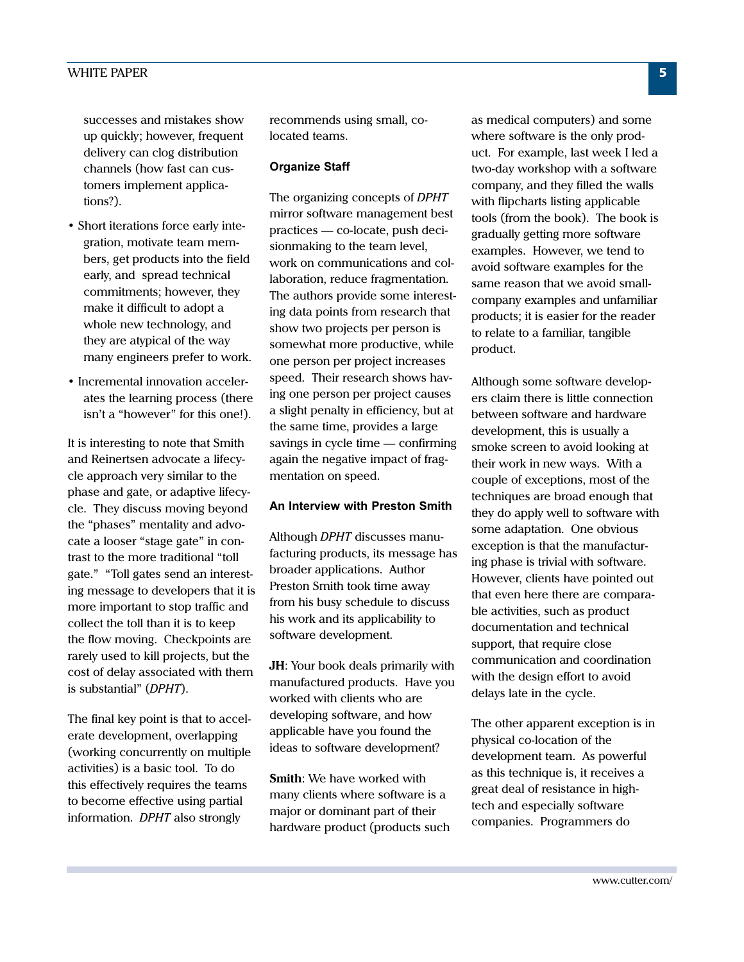successes and mistakes show up quickly; however, frequent delivery can clog distribution channels (how fast can customers implement applica $tions$ ?).

- Short iterations force early integration, motivate team members, get products into the field early, and spread technical commitments; however, they make it difficult to adopt a whole new technology, and they are atypical of the way many engineers prefer to work.
- Incremental innovation accelerates the learning process (there isn't a "however" for this one!).

It is interesting to note that Smith and Reinertsen advocate a lifecycle approach very similar to the phase and gate, or adaptive lifecycle. They discuss moving beyond the "phases" mentality and advocate a looser "stage gate" in contrast to the more traditional "toll" gate." "Toll gates send an interesting message to developers that it is more important to stop traffic and collect the toll than it is to keep the flow moving. Checkpoints are rarely used to kill projects, but the cost of delay associated with them is substantial" (DPHT).

The final key point is that to accelerate development, overlapping (working concurrently on multiple) activities) is a basic tool. To do this effectively requires the teams to become effective using partial information. DPHT also strongly

recommends using small, colocated teams.

#### **Organize Staff**

The organizing concepts of DPHT mirror software management best practices — co-locate, push decisionmaking to the team level, work on communications and collaboration, reduce fragmentation. The authors provide some interesting data points from research that show two projects per person is somewhat more productive, while one person per project increases speed. Their research shows having one person per project causes a slight penalty in efficiency, but at the same time, provides a large savings in cycle time  $-$  confirming again the negative impact of fragmentation on speed.

#### An Interview with Preston Smith

Although DPHT discusses manufacturing products, its message has broader applications. Author Preston Smith took time away from his busy schedule to discuss his work and its applicability to software development.

**JH:** Your book deals primarily with manufactured products. Have you worked with clients who are developing software, and how applicable have you found the ideas to software development?

**Smith:** We have worked with many clients where software is a major or dominant part of their hardware product (products such as medical computers) and some where software is the only product. For example, last week I led a two-day workshop with a software company, and they filled the walls with flipcharts listing applicable tools (from the book). The book is gradually getting more software examples. However, we tend to avoid software examples for the same reason that we avoid smallcompany examples and unfamiliar products; it is easier for the reader to relate to a familiar, tangible product.

Although some software developers claim there is little connection between software and hardware development, this is usually a smoke screen to avoid looking at their work in new ways. With a couple of exceptions, most of the techniques are broad enough that they do apply well to software with some adaptation. One obvious exception is that the manufacturing phase is trivial with software. However, clients have pointed out that even here there are comparable activities, such as product documentation and technical support, that require close communication and coordination with the design effort to avoid delays late in the cycle.

The other apparent exception is in physical co-location of the development team. As powerful as this technique is, it receives a great deal of resistance in hightech and especially software companies. Programmers do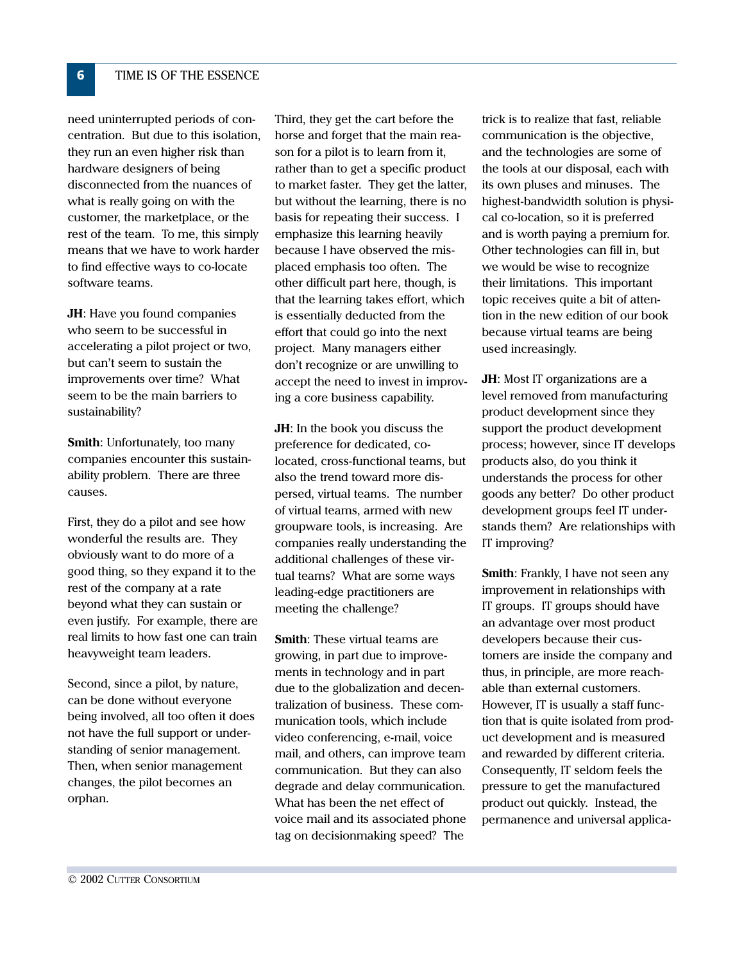need uninterrupted periods of concentration. But due to this isolation, they run an even higher risk than hardware designers of being disconnected from the nuances of what is really going on with the customer, the marketplace, or the rest of the team. To me, this simply means that we have to work harder to find effective ways to co-locate software teams.

JH: Have you found companies who seem to be successful in accelerating a pilot project or two, but can't seem to sustain the improvements over time? What seem to be the main barriers to sustainability?

**Smith:** Unfortunately, too many companies encounter this sustainability problem. There are three causes.

First, they do a pilot and see how wonderful the results are. They obviously want to do more of a good thing, so they expand it to the rest of the company at a rate beyond what they can sustain or even justify. For example, there are real limits to how fast one can train heavyweight team leaders.

Second, since a pilot, by nature, can be done without everyone being involved, all too often it does not have the full support or understanding of senior management. Then, when senior management changes, the pilot becomes an orphan.

Third, they get the cart before the horse and forget that the main reason for a pilot is to learn from it, rather than to get a specific product to market faster. They get the latter, but without the learning, there is no basis for repeating their success. I emphasize this learning heavily because I have observed the misplaced emphasis too often. The other difficult part here, though, is that the learning takes effort, which is essentially deducted from the effort that could go into the next project. Many managers either don't recognize or are unwilling to accept the need to invest in improving a core business capability.

**JH:** In the book you discuss the preference for dedicated, colocated, cross-functional teams, but also the trend toward more dispersed, virtual teams. The number of virtual teams, armed with new groupware tools, is increasing. Are companies really understanding the additional challenges of these virtual teams? What are some ways leading-edge practitioners are meeting the challenge?

**Smith:** These virtual teams are growing, in part due to improvements in technology and in part due to the globalization and decentralization of business. These communication tools, which include video conferencing, e-mail, voice mail, and others, can improve team communication. But they can also degrade and delay communication. What has been the net effect of voice mail and its associated phone tag on decisionmaking speed? The

trick is to realize that fast, reliable communication is the objective, and the technologies are some of the tools at our disposal, each with its own pluses and minuses. The highest-bandwidth solution is physical co-location, so it is preferred and is worth paying a premium for. Other technologies can fill in, but we would be wise to recognize their limitations. This important topic receives quite a bit of attention in the new edition of our book because virtual teams are being used increasingly.

JH: Most IT organizations are a level removed from manufacturing product development since they support the product development process; however, since IT develops products also, do you think it understands the process for other goods any better? Do other product development groups feel IT understands them? Are relationships with IT improving?

Smith: Frankly, I have not seen any improvement in relationships with IT groups. IT groups should have an advantage over most product developers because their customers are inside the company and thus, in principle, are more reachable than external customers. However, IT is usually a staff function that is quite isolated from product development and is measured and rewarded by different criteria. Consequently, IT seldom feels the pressure to get the manufactured product out quickly. Instead, the permanence and universal applica-

 $6<sup>1</sup>$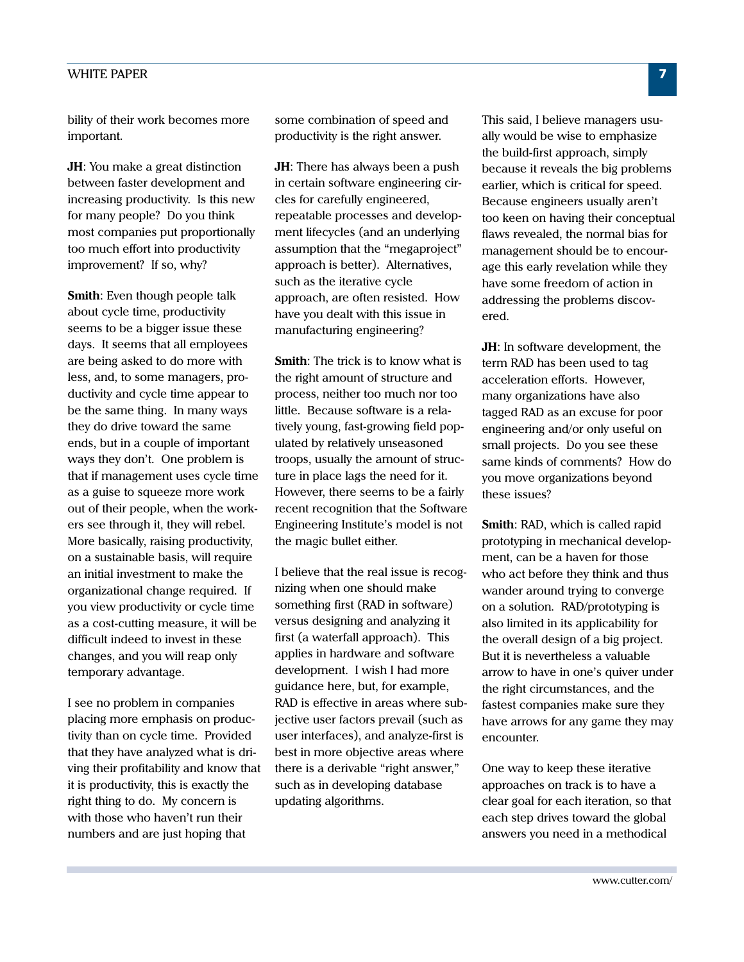#### **WHITE PAPER**

bility of their work becomes more important.

**JH**: You make a great distinction between faster development and increasing productivity. Is this new for many people? Do you think most companies put proportionally too much effort into productivity improvement? If so, why?

Smith: Even though people talk about cycle time, productivity seems to be a bigger issue these days. It seems that all employees are being asked to do more with less, and, to some managers, productivity and cycle time appear to be the same thing. In many ways they do drive toward the same ends, but in a couple of important ways they don't. One problem is that if management uses cycle time as a guise to squeeze more work out of their people, when the workers see through it, they will rebel. More basically, raising productivity, on a sustainable basis, will require an initial investment to make the organizational change required. If you view productivity or cycle time as a cost-cutting measure, it will be difficult indeed to invest in these changes, and you will reap only temporary advantage.

I see no problem in companies placing more emphasis on productivity than on cycle time. Provided that they have analyzed what is driving their profitability and know that it is productivity, this is exactly the right thing to do. My concern is with those who haven't run their numbers and are just hoping that

some combination of speed and productivity is the right answer.

JH: There has always been a push in certain software engineering circles for carefully engineered, repeatable processes and development lifecycles (and an underlying assumption that the "megaproject" approach is better). Alternatives, such as the iterative cycle approach, are often resisted. How have you dealt with this issue in manufacturing engineering?

**Smith:** The trick is to know what is the right amount of structure and process, neither too much nor too little. Because software is a relatively young, fast-growing field populated by relatively unseasoned troops, usually the amount of structure in place lags the need for it. However, there seems to be a fairly recent recognition that the Software Engineering Institute's model is not the magic bullet either.

I believe that the real issue is recognizing when one should make something first (RAD in software) versus designing and analyzing it first (a waterfall approach). This applies in hardware and software development. I wish I had more guidance here, but, for example, RAD is effective in areas where subjective user factors prevail (such as user interfaces), and analyze-first is best in more objective areas where there is a derivable "right answer," such as in developing database updating algorithms.

This said, I believe managers usually would be wise to emphasize the build-first approach, simply because it reveals the big problems earlier, which is critical for speed. Because engineers usually aren't too keen on having their conceptual flaws revealed, the normal bias for management should be to encourage this early revelation while they have some freedom of action in addressing the problems discovered.

JH: In software development, the term RAD has been used to tag acceleration efforts. However, many organizations have also tagged RAD as an excuse for poor engineering and/or only useful on small projects. Do you see these same kinds of comments? How do you move organizations beyond these issues?

**Smith:** RAD, which is called rapid prototyping in mechanical development, can be a haven for those who act before they think and thus wander around trying to converge on a solution. RAD/prototyping is also limited in its applicability for the overall design of a big project. But it is nevertheless a valuable arrow to have in one's quiver under the right circumstances, and the fastest companies make sure they have arrows for any game they may encounter.

One way to keep these iterative approaches on track is to have a clear goal for each iteration, so that each step drives toward the global answers you need in a methodical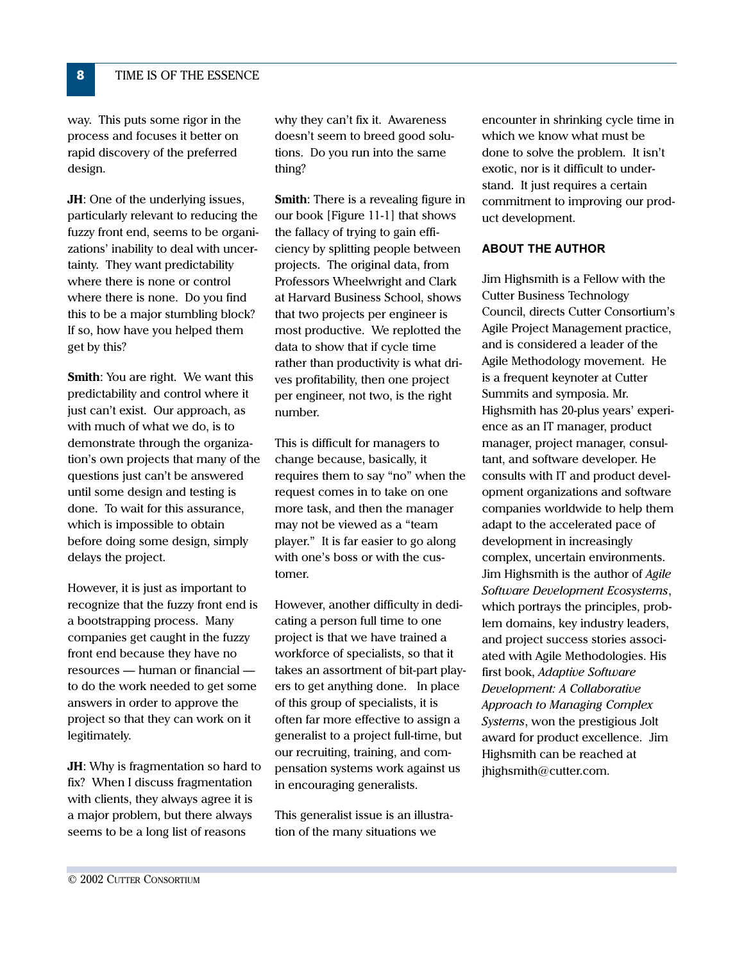way. This puts some rigor in the process and focuses it better on rapid discovery of the preferred design.

**JH:** One of the underlying issues, particularly relevant to reducing the fuzzy front end, seems to be organizations' inability to deal with uncertainty. They want predictability where there is none or control where there is none. Do you find this to be a major stumbling block? If so, how have you helped them get by this?

**Smith:** You are right. We want this predictability and control where it just can't exist. Our approach, as with much of what we do, is to demonstrate through the organization's own projects that many of the questions just can't be answered until some design and testing is done. To wait for this assurance, which is impossible to obtain before doing some design, simply delays the project.

However, it is just as important to recognize that the fuzzy front end is a bootstrapping process. Many companies get caught in the fuzzy front end because they have no resources — human or financial to do the work needed to get some answers in order to approve the project so that they can work on it legitimately.

**JH:** Why is fragmentation so hard to fix? When I discuss fragmentation with clients, they always agree it is a major problem, but there always seems to be a long list of reasons

why they can't fix it. Awareness doesn't seem to breed good solutions. Do you run into the same thing?

**Smith:** There is a revealing figure in our book [Figure 11-1] that shows the fallacy of trying to gain efficiency by splitting people between projects. The original data, from Professors Wheelwright and Clark at Harvard Business School, shows that two projects per engineer is most productive. We replotted the data to show that if cycle time rather than productivity is what drives profitability, then one project per engineer, not two, is the right number.

This is difficult for managers to change because, basically, it requires them to say "no" when the request comes in to take on one more task, and then the manager may not be viewed as a "team player." It is far easier to go along with one's boss or with the customer.

However, another difficulty in dedicating a person full time to one project is that we have trained a workforce of specialists, so that it takes an assortment of bit-part players to get anything done. In place of this group of specialists, it is often far more effective to assign a generalist to a project full-time, but our recruiting, training, and compensation systems work against us in encouraging generalists.

This generalist issue is an illustration of the many situations we

encounter in shrinking cycle time in which we know what must be done to solve the problem. It isn't exotic, nor is it difficult to understand. It just requires a certain commitment to improving our product development.

#### **ABOUT THE AUTHOR**

Jim Highsmith is a Fellow with the **Cutter Business Technology** Council, directs Cutter Consortium's Agile Project Management practice, and is considered a leader of the Agile Methodology movement. He is a frequent keynoter at Cutter Summits and symposia. Mr. Highsmith has 20-plus years' experience as an IT manager, product manager, project manager, consultant, and software developer. He consults with IT and product development organizations and software companies worldwide to help them adapt to the accelerated pace of development in increasingly complex, uncertain environments. Jim Highsmith is the author of Agile Software Development Ecosystems, which portrays the principles, problem domains, key industry leaders, and project success stories associated with Agile Methodologies. His first book, Adaptive Software Development: A Collaborative Approach to Managing Complex Systems, won the prestigious Jolt award for product excellence. Jim Highsmith can be reached at jhighsmith@cutter.com.

8